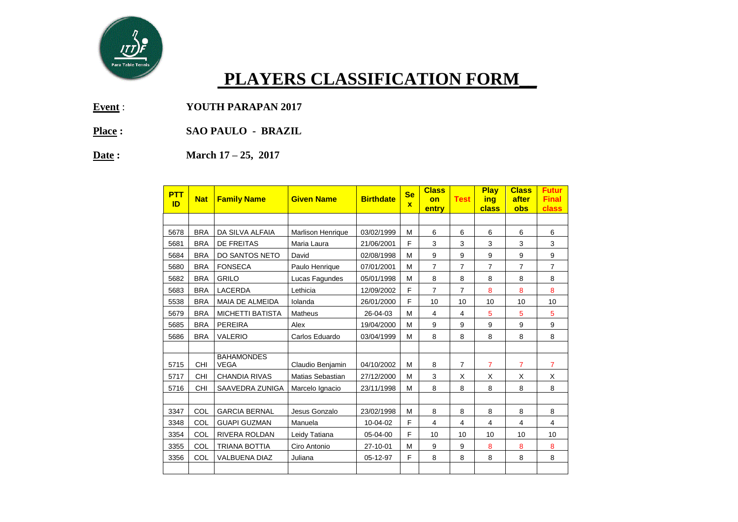

## **PLAYERS CLASSIFICATION FORM\_\_**

**Event** : **YOUTH PARAPAN 2017** 

- **Place : SAO PAULO BRAZIL**
- **Date : March 17 – 25, 2017**

| <b>PTT</b><br>ID | <b>Nat</b> | <b>Family Name</b>               | <b>Given Name</b>        | <b>Birthdate</b> | <b>Se</b><br>$\mathbf{x}$ | <b>Class</b><br>on<br>entry | <b>Test</b>    | <b>Play</b><br>ing<br>class | <b>Class</b><br>after<br>obs | <b>Futur</b><br><b>Final</b><br>class |
|------------------|------------|----------------------------------|--------------------------|------------------|---------------------------|-----------------------------|----------------|-----------------------------|------------------------------|---------------------------------------|
|                  |            |                                  |                          |                  |                           |                             |                |                             |                              |                                       |
| 5678             | <b>BRA</b> | DA SILVA ALFAIA                  | <b>Marlison Henrique</b> | 03/02/1999       | м                         | 6                           | 6              | 6                           | 6                            | 6                                     |
| 5681             | <b>BRA</b> | DE FREITAS                       | Maria Laura              | 21/06/2001       | F                         | 3                           | 3              | 3                           | 3                            | 3                                     |
| 5684             | <b>BRA</b> | DO SANTOS NETO                   | David                    | 02/08/1998       | M                         | 9                           | 9              | 9                           | 9                            | 9                                     |
| 5680             | <b>BRA</b> | <b>FONSECA</b>                   | Paulo Henrique           | 07/01/2001       | м                         | 7                           | 7              | 7                           | 7                            | $\overline{7}$                        |
| 5682             | <b>BRA</b> | <b>GRILO</b>                     | Lucas Fagundes           | 05/01/1998       | M                         | 8                           | 8              | 8                           | 8                            | 8                                     |
| 5683             | <b>BRA</b> | <b>LACERDA</b>                   | Lethicia                 | 12/09/2002       | F                         | $\overline{7}$              | $\overline{7}$ | 8                           | 8                            | 8                                     |
| 5538             | <b>BRA</b> | <b>MAIA DE ALMEIDA</b>           | Iolanda                  | 26/01/2000       | F                         | 10                          | 10             | 10                          | 10                           | 10                                    |
| 5679             | <b>BRA</b> | <b>MICHETTI BATISTA</b>          | Matheus                  | 26-04-03         | M                         | 4                           | 4              | 5                           | 5                            | 5                                     |
| 5685             | <b>BRA</b> | <b>PEREIRA</b>                   | Alex                     | 19/04/2000       | M                         | 9                           | 9              | 9                           | 9                            | 9                                     |
| 5686             | <b>BRA</b> | <b>VALERIO</b>                   | Carlos Eduardo           | 03/04/1999       | м                         | 8                           | 8              | 8                           | 8                            | 8                                     |
|                  |            |                                  |                          |                  |                           |                             |                |                             |                              |                                       |
| 5715             | CHI        | <b>BAHAMONDES</b><br><b>VEGA</b> | Claudio Benjamin         | 04/10/2002       | M                         | 8                           | $\overline{7}$ | $\overline{7}$              | $\overline{7}$               | $\overline{7}$                        |
| 5717             | <b>CHI</b> | <b>CHANDIA RIVAS</b>             | Matias Sebastian         | 27/12/2000       | M                         | 3                           | X              | X                           | X                            | X                                     |
| 5716             | CHI        | SAAVEDRA ZUNIGA                  | Marcelo Ignacio          | 23/11/1998       | M                         | 8                           | 8              | 8                           | 8                            | 8                                     |
|                  |            |                                  |                          |                  |                           |                             |                |                             |                              |                                       |
| 3347             | COL        | <b>GARCIA BERNAL</b>             | Jesus Gonzalo            | 23/02/1998       | M                         | 8                           | 8              | 8                           | 8                            | 8                                     |
| 3348             | COL        | <b>GUAPI GUZMAN</b>              | Manuela                  | 10-04-02         | F                         | 4                           | 4              | 4                           | $\overline{4}$               | 4                                     |
| 3354             | COL        | <b>RIVERA ROLDAN</b>             | Leidy Tatiana            | 05-04-00         | F                         | 10                          | 10             | 10                          | 10                           | 10                                    |
| 3355             | COL        | <b>TRIANA BOTTIA</b>             | Ciro Antonio             | 27-10-01         | M                         | 9                           | 9              | 8                           | 8                            | 8                                     |
| 3356             | COL        | <b>VALBUENA DIAZ</b>             | Juliana                  | 05-12-97         | F                         | 8                           | 8              | 8                           | 8                            | 8                                     |
|                  |            |                                  |                          |                  |                           |                             |                |                             |                              |                                       |